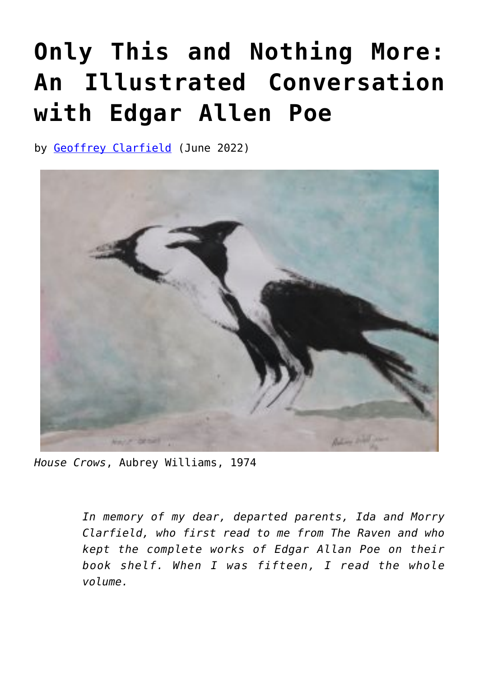## **[Only This and Nothing More:](https://www.newenglishreview.org/articles/41296-2/) [An Illustrated Conversation](https://www.newenglishreview.org/articles/41296-2/) [with Edgar Allen Poe](https://www.newenglishreview.org/articles/41296-2/)**

by [Geoffrey Clarfield](https://www.newenglishreview.org/authors/geoffrey-clarfield/) (June 2022)



*House Crows*, Aubrey Williams, 1974

*In memory of my dear, departed parents, Ida and Morry Clarfield, who first read to me from The Raven and who kept the complete works of Edgar Allan Poe on their book shelf. When I was fifteen, I read the whole volume.*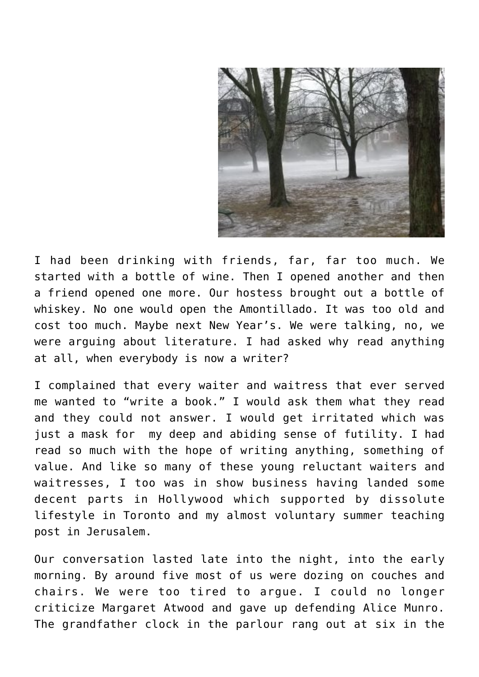

I had been drinking with friends, far, far too much. We started with a bottle of wine. Then I opened another and then a friend opened one more. Our hostess brought out a bottle of whiskey. No one would open the Amontillado. It was too old and cost too much. Maybe next New Year's. We were talking, no, we were arguing about literature. I had asked why read anything at all, when everybody is now a writer?

I complained that every waiter and waitress that ever served me wanted to "write a book." I would ask them what they read and they could not answer. I would get irritated which was just a mask for my deep and abiding sense of futility. I had read so much with the hope of writing anything, something of value. And like so many of these young reluctant waiters and waitresses, I too was in show business having landed some decent parts in Hollywood which supported by dissolute lifestyle in Toronto and my almost voluntary summer teaching post in Jerusalem.

Our conversation lasted late into the night, into the early morning. By around five most of us were dozing on couches and chairs. We were too tired to argue. I could no longer criticize Margaret Atwood and gave up defending Alice Munro. The grandfather clock in the parlour rang out at six in the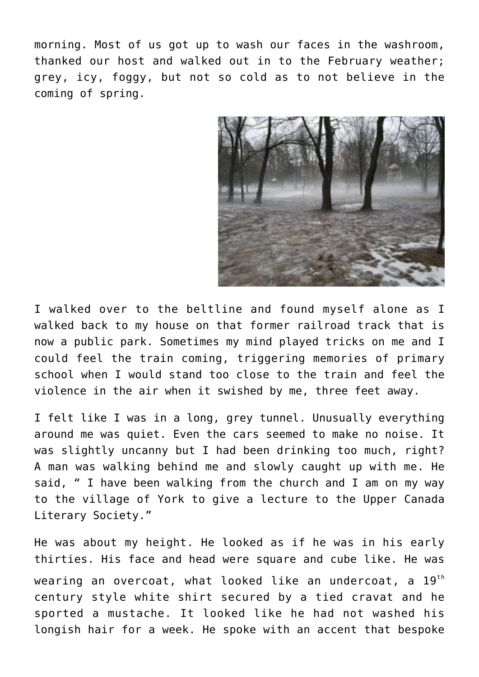morning. Most of us got up to wash our faces in the washroom, thanked our host and walked out in to the February weather; grey, icy, foggy, but not so cold as to not believe in the coming of spring.



I walked over to the beltline and found myself alone as I walked back to my house on that former railroad track that is now a public park. Sometimes my mind played tricks on me and I could feel the train coming, triggering memories of primary school when I would stand too close to the train and feel the violence in the air when it swished by me, three feet away.

I felt like I was in a long, grey tunnel. Unusually everything around me was quiet. Even the cars seemed to make no noise. It was slightly uncanny but I had been drinking too much, right? A man was walking behind me and slowly caught up with me. He said, " I have been walking from the church and I am on my way to the village of York to give a lecture to the Upper Canada Literary Society."

He was about my height. He looked as if he was in his early thirties. His face and head were square and cube like. He was wearing an overcoat, what looked like an undercoat, a  $19<sup>th</sup>$ century style white shirt secured by a tied cravat and he sported a mustache. It looked like he had not washed his longish hair for a week. He spoke with an accent that bespoke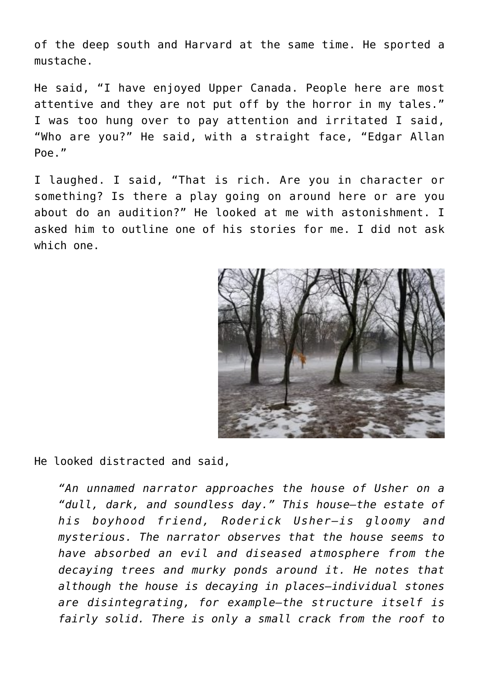of the deep south and Harvard at the same time. He sported a mustache.

He said, "I have enjoyed Upper Canada. People here are most attentive and they are not put off by the horror in my tales." I was too hung over to pay attention and irritated I said, "Who are you?" He said, with a straight face, "Edgar Allan Poe."

I laughed. I said, "That is rich. Are you in character or something? Is there a play going on around here or are you about do an audition?" He looked at me with astonishment. I asked him to outline one of his stories for me. I did not ask which one.



He looked distracted and said,

*"An unnamed narrator approaches the house of Usher on a "dull, dark, and soundless day." This house—the estate of his boyhood friend, Roderick Usher—is gloomy and mysterious. The narrator observes that the house seems to have absorbed an evil and diseased atmosphere from the decaying trees and murky ponds around it. He notes that although the house is decaying in places—individual stones are disintegrating, for example—the structure itself is fairly solid. There is only a small crack from the roof to*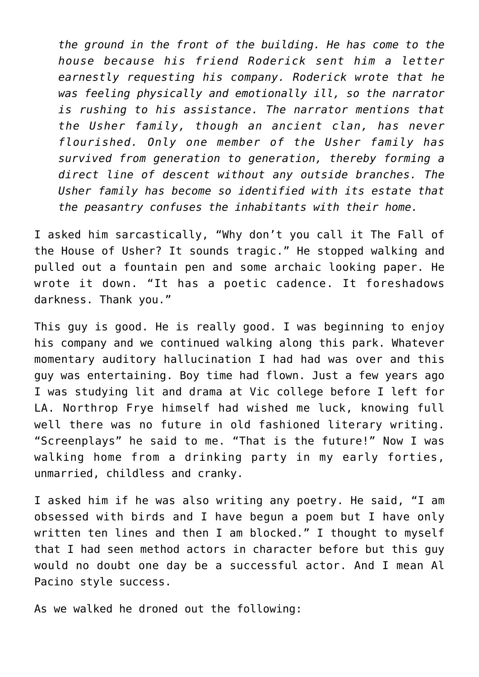*the ground in the front of the building. He has come to the house because his friend Roderick sent him a letter earnestly requesting his company. Roderick wrote that he was feeling physically and emotionally ill, so the narrator is rushing to his assistance. The narrator mentions that the Usher family, though an ancient clan, has never flourished. Only one member of the Usher family has survived from generation to generation, thereby forming a direct line of descent without any outside branches. The Usher family has become so identified with its estate that the peasantry confuses the inhabitants with their home.*

I asked him sarcastically, "Why don't you call it The Fall of the House of Usher? It sounds tragic." He stopped walking and pulled out a fountain pen and some archaic looking paper. He wrote it down. "It has a poetic cadence. It foreshadows darkness. Thank you."

This guy is good. He is really good. I was beginning to enjoy his company and we continued walking along this park. Whatever momentary auditory hallucination I had had was over and this guy was entertaining. Boy time had flown. Just a few years ago I was studying lit and drama at Vic college before I left for LA. Northrop Frye himself had wished me luck, knowing full well there was no future in old fashioned literary writing. "Screenplays" he said to me. "That is the future!" Now I was walking home from a drinking party in my early forties, unmarried, childless and cranky.

I asked him if he was also writing any poetry. He said, "I am obsessed with birds and I have begun a poem but I have only written ten lines and then I am blocked." I thought to myself that I had seen method actors in character before but this guy would no doubt one day be a successful actor. And I mean Al Pacino style success.

As we walked he droned out the following: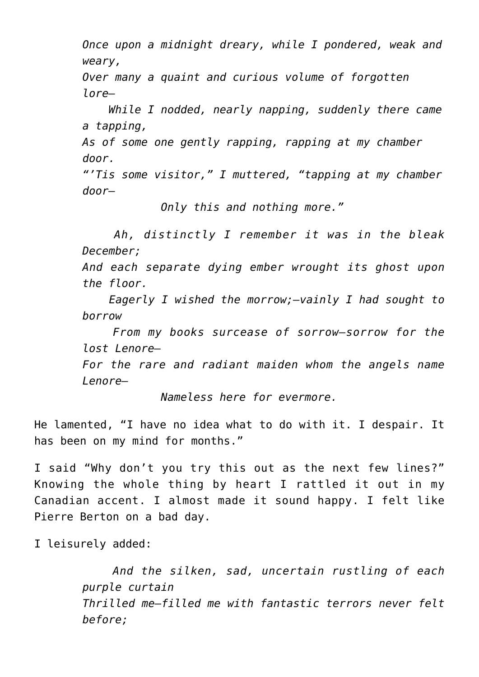*Once upon a midnight dreary, while I pondered, weak and weary,*

*Over many a quaint and curious volume of forgotten lore—*

 *While I nodded, nearly napping, suddenly there came a tapping,*

*As of some one gently rapping, rapping at my chamber door.*

*"'Tis some visitor," I muttered, "tapping at my chamber door—*

 *Only this and nothing more."*

 *Ah, distinctly I remember it was in the bleak December;*

*And each separate dying ember wrought its ghost upon the floor.*

 *Eagerly I wished the morrow;—vainly I had sought to borrow*

 *From my books surcease of sorrow—sorrow for the lost Lenore—*

*For the rare and radiant maiden whom the angels name Lenore—*

 *Nameless here for evermore.*

He lamented, "I have no idea what to do with it. I despair. It has been on my mind for months."

I said "Why don't you try this out as the next few lines?" Knowing the whole thing by heart I rattled it out in my Canadian accent. I almost made it sound happy. I felt like Pierre Berton on a bad day.

I leisurely added:

 *And the silken, sad, uncertain rustling of each purple curtain Thrilled me—filled me with fantastic terrors never felt before;*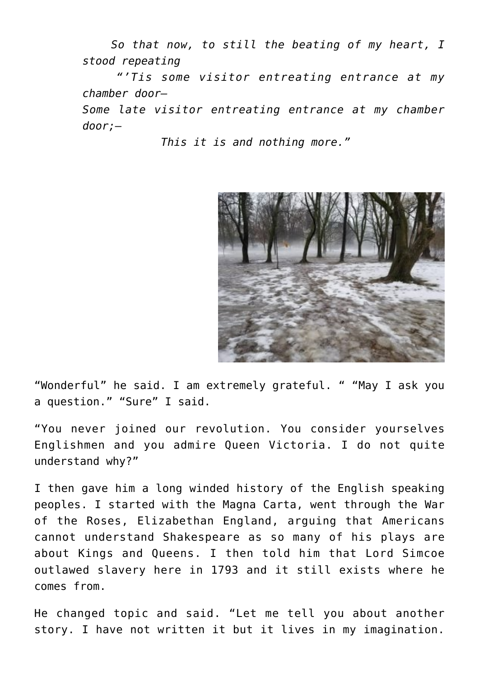*So that now, to still the beating of my heart, I stood repeating*

 *"'Tis some visitor entreating entrance at my chamber door—*

*Some late visitor entreating entrance at my chamber door;—*

 *This it is and nothing more."*



"Wonderful" he said. I am extremely grateful. " "May I ask you a question." "Sure" I said.

"You never joined our revolution. You consider yourselves Englishmen and you admire Queen Victoria. I do not quite understand why?"

I then gave him a long winded history of the English speaking peoples. I started with the Magna Carta, went through the War of the Roses, Elizabethan England, arguing that Americans cannot understand Shakespeare as so many of his plays are about Kings and Queens. I then told him that Lord Simcoe outlawed slavery here in 1793 and it still exists where he comes from.

He changed topic and said. "Let me tell you about another story. I have not written it but it lives in my imagination.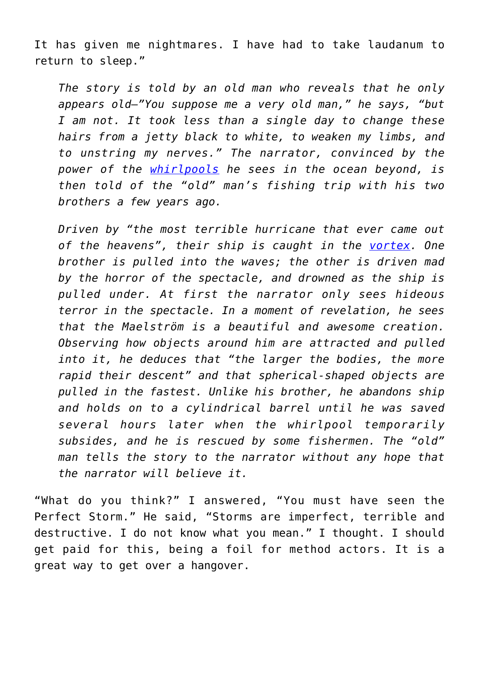It has given me nightmares. I have had to take laudanum to return to sleep."

*The story is told by an old man who reveals that he only appears old—"You suppose me a very old man," he says, "but I am not. It took less than a single day to change these hairs from a jetty black to white, to weaken my limbs, and to unstring my nerves." The narrator, convinced by the power of the [whirlpools](https://en.wikipedia.org/wiki/Whirlpool) he sees in the ocean beyond, is then told of the "old" man's fishing trip with his two brothers a few years ago.*

*Driven by "the most terrible hurricane that ever came out of the heavens", their ship is caught in the [vortex](https://en.wikipedia.org/wiki/Vortex). One brother is pulled into the waves; the other is driven mad by the horror of the spectacle, and drowned as the ship is pulled under. At first the narrator only sees hideous terror in the spectacle. In a moment of revelation, he sees that the Maelström is a beautiful and awesome creation. Observing how objects around him are attracted and pulled into it, he deduces that "the larger the bodies, the more rapid their descent" and that spherical-shaped objects are pulled in the fastest. Unlike his brother, he abandons ship and holds on to a cylindrical barrel until he was saved several hours later when the whirlpool temporarily subsides, and he is rescued by some fishermen. The "old" man tells the story to the narrator without any hope that the narrator will believe it.*

"What do you think?" I answered, "You must have seen the Perfect Storm." He said, "Storms are imperfect, terrible and destructive. I do not know what you mean." I thought. I should get paid for this, being a foil for method actors. It is a great way to get over a hangover.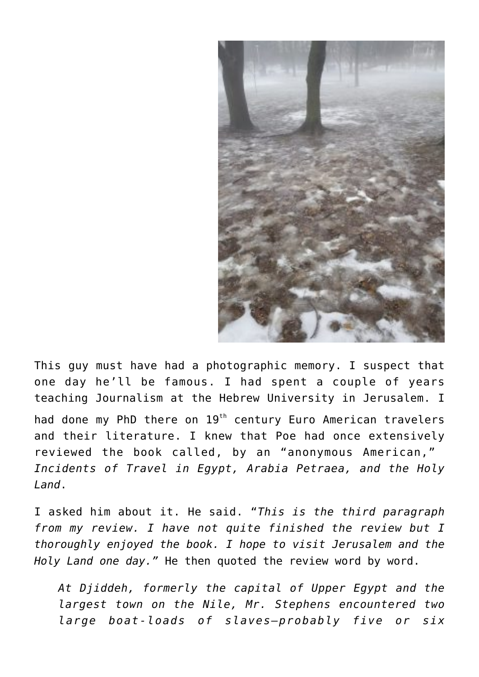

This guy must have had a photographic memory. I suspect that one day he'll be famous. I had spent a couple of years teaching Journalism at the Hebrew University in Jerusalem. I

had done my PhD there on 19<sup>th</sup> century Euro American travelers and their literature. I knew that Poe had once extensively reviewed the book called, by an "anonymous American," *Incidents of Travel in Egypt, Arabia Petraea, and the Holy Land*.

I asked him about it. He said. "*This is the third paragraph from my review. I have not quite finished the review but I thoroughly enjoyed the book. I hope to visit Jerusalem and the* Holy Land one day." He then quoted the review word by word.

*At Djiddeh, formerly the capital of Upper Egypt and the largest town on the Nile, Mr. Stephens encountered two large boat-loads of slaves—probably five or six*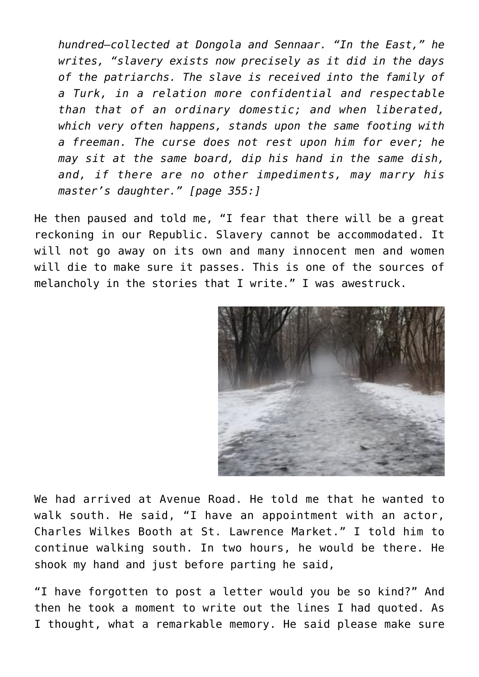*hundred—collected at Dongola and Sennaar. "In the East," he writes, "slavery exists now precisely as it did in the days of the patriarchs. The slave is received into the family of a Turk, in a relation more confidential and respectable than that of an ordinary domestic; and when liberated, which very often happens, stands upon the same footing with a freeman. The curse does not rest upon him for ever; he may sit at the same board, dip his hand in the same dish, and, if there are no other impediments, may marry his master's daughter." [page 355:]*

He then paused and told me, "I fear that there will be a great reckoning in our Republic. Slavery cannot be accommodated. It will not go away on its own and many innocent men and women will die to make sure it passes. This is one of the sources of melancholy in the stories that I write." I was awestruck.



We had arrived at Avenue Road. He told me that he wanted to walk south. He said, "I have an appointment with an actor, Charles Wilkes Booth at St. Lawrence Market." I told him to continue walking south. In two hours, he would be there. He shook my hand and just before parting he said,

"I have forgotten to post a letter would you be so kind?" And then he took a moment to write out the lines I had quoted. As I thought, what a remarkable memory. He said please make sure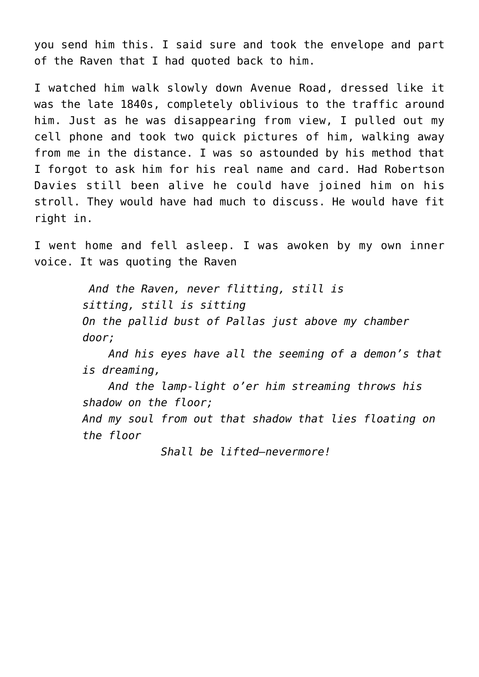you send him this. I said sure and took the envelope and part of the Raven that I had quoted back to him.

I watched him walk slowly down Avenue Road, dressed like it was the late 1840s, completely oblivious to the traffic around him. Just as he was disappearing from view, I pulled out my cell phone and took two quick pictures of him, walking away from me in the distance. I was so astounded by his method that I forgot to ask him for his real name and card. Had Robertson Davies still been alive he could have joined him on his stroll. They would have had much to discuss. He would have fit right in.

I went home and fell asleep. I was awoken by my own inner voice. It was quoting the Raven

> *And the Raven, never flitting, still is sitting, still is sitting On the pallid bust of Pallas just above my chamber door;*

 *And his eyes have all the seeming of a demon's that is dreaming,*

 *And the lamp-light o'er him streaming throws his shadow on the floor; And my soul from out that shadow that lies floating on the floor*

 *Shall be lifted—nevermore!*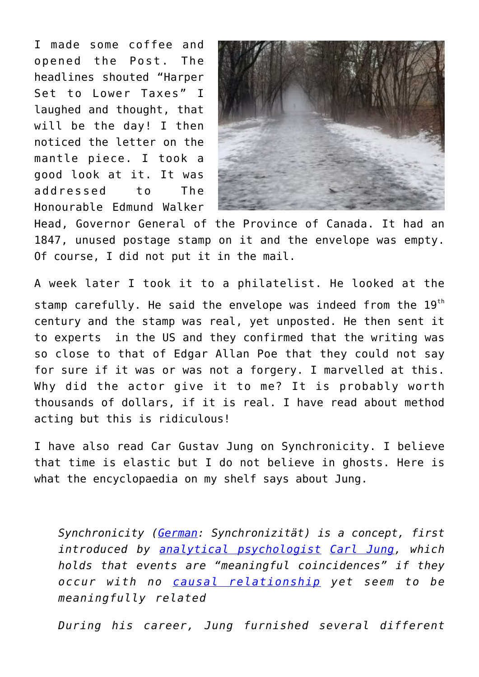I made some coffee and opened the Post. The headlines shouted "Harper Set to Lower Taxes" I laughed and thought, that will be the day! I then noticed the letter on the mantle piece. I took a good look at it. It was addressed to The Honourable Edmund Walker



Head, Governor General of the Province of Canada. It had an 1847, unused postage stamp on it and the envelope was empty. Of course, I did not put it in the mail.

A week later I took it to a philatelist. He looked at the stamp carefully. He said the envelope was indeed from the 19<sup>th</sup> century and the stamp was real, yet unposted. He then sent it to experts in the US and they confirmed that the writing was so close to that of Edgar Allan Poe that they could not say for sure if it was or was not a forgery. I marvelled at this. Why did the actor give it to me? It is probably worth thousands of dollars, if it is real. I have read about method acting but this is ridiculous!

I have also read Car Gustav Jung on Synchronicity. I believe that time is elastic but I do not believe in ghosts. Here is what the encyclopaedia on my shelf says about Jung.

*Synchronicity [\(German:](https://en.wikipedia.org/wiki/German_language) Synchronizität) is a concept, first introduced by [analytical psychologist](https://en.wikipedia.org/wiki/Analytical_psychology) [Carl Jung](https://en.wikipedia.org/wiki/Carl_Jung), which holds that events are "meaningful coincidences" if they occur with no [causal relationship](https://en.wikipedia.org/wiki/Causality) yet seem to be meaningfully related*

*During his career, Jung furnished several different*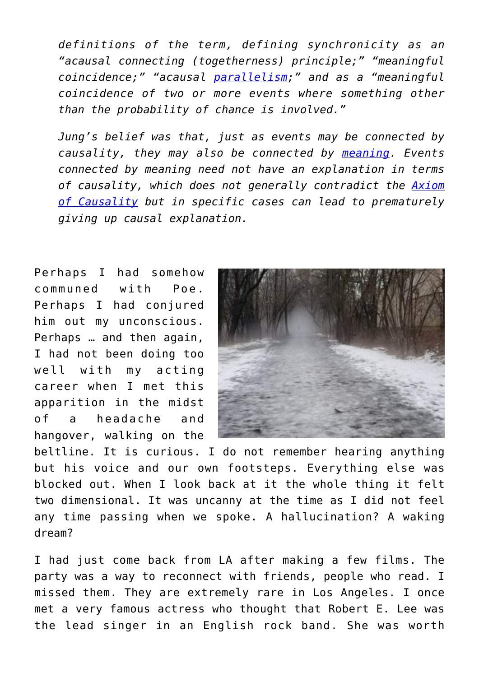*definitions of the term, defining synchronicity as an "acausal connecting (togetherness) principle;" "meaningful coincidence;" "acausal [parallelism;](https://en.wikipedia.org/wiki/Parallelism_(rhetoric))" and as a "meaningful coincidence of two or more events where something other than the probability of chance is involved."*

*Jung's belief was that, just as events may be connected by causality, they may also be connected by [meaning.](https://en.wikipedia.org/wiki/Meaning_(existential)) Events connected by meaning need not have an explanation in terms of causality, which does not generally contradict the [Axiom](https://en.wikipedia.org/wiki/Axiom_of_Causality) [of Causality](https://en.wikipedia.org/wiki/Axiom_of_Causality) but in specific cases can lead to prematurely giving up causal explanation.*

Perhaps I had somehow communed with Poe. Perhaps I had conjured him out my unconscious. Perhaps … and then again, I had not been doing too well with my acting career when I met this apparition in the midst of a headache and hangover, walking on the



beltline. It is curious. I do not remember hearing anything but his voice and our own footsteps. Everything else was blocked out. When I look back at it the whole thing it felt two dimensional. It was uncanny at the time as I did not feel any time passing when we spoke. A hallucination? A waking dream?

I had just come back from LA after making a few films. The party was a way to reconnect with friends, people who read. I missed them. They are extremely rare in Los Angeles. I once met a very famous actress who thought that Robert E. Lee was the lead singer in an English rock band. She was worth